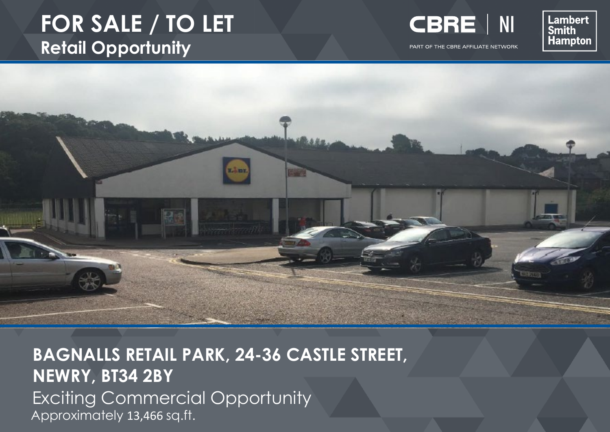# **FOR SALE / TO LET Retail Opportunity**



PART OF THE CBRE AFFILIATE NETWORK

Lambert<br>Smith Hampton



**BAGNALLS RETAIL PARK, 24-36 CASTLE STREET, NEWRY, BT34 2BY** Exciting Commercial Opportunity Approximately 13,466 sq.ft.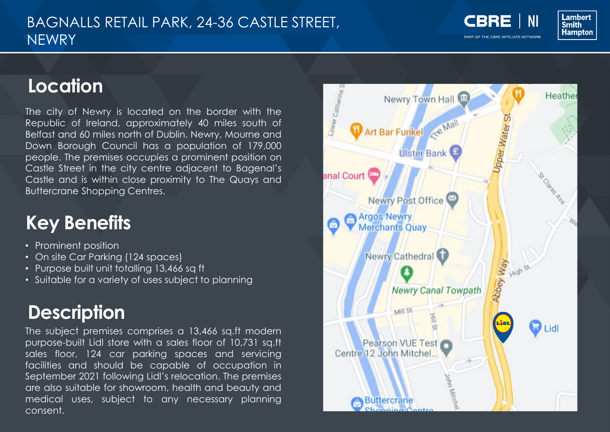#### BAGNALLS RETAIL PARK, 24-36 CASTLE STREET, **NEWRY**

**CBRE** 

PART OF THE CBRE AFFILIATE NETWORK



### **Location**

The city of Newry is located on the border with the Republic of Ireland, approximately 40 miles south of Belfast and 60 miles north of Dublin. Newry, Mourne and Down Borough Council has a population of 179,000 people. The premises occupies a prominent position on Castle Street in the city centre adjacent to Bagenal's Castle and is within close proximity to The Quays and Buttercrane Shopping Centres.

## **Key Benefits**

- Prominent position
- On site Car Parking (124 spaces)
- Purpose built unit totalling 13,466 sq ft
- Suitable for a variety of uses subject to planning

# **Description**

The subject premises comprises a 13,466 sq.ft modern purpose-built Lidl store with a sales floor of 10,731 sq.ft sales floor, 124 car parking spaces and servicing facilities and should be capable of occupation in September 2021 following Lidl's relocation. The premises are also suitable for showroom, health and beauty and medical uses, subject to any necessary planning consent.

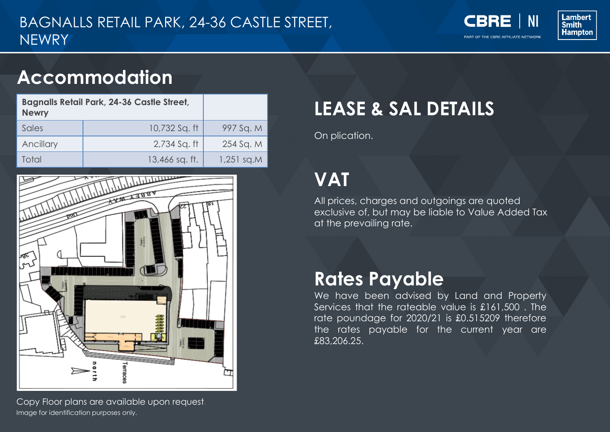**CBRE NI** 

PART OF THE CBRE AFFILIATE NETWORK



## **Accommodation**

| <b>Bagnalls Retail Park, 24-36 Castle Street,</b><br><b>Newry</b> |                |            |
|-------------------------------------------------------------------|----------------|------------|
| Sales                                                             | 10,732 Sq. ft  | 997 Sq. M  |
| Ancillary                                                         | 2,734 Sq. ft   | 254 Sq. M  |
| Total                                                             | 13,466 sq. ft. | 1,251 sq.M |



Image for identification purposes only. Copy Floor plans are available upon request.

# **LEASE & SAL DETAILS**

On plication.

# **VAT**

All prices, charges and outgoings are quoted exclusive of, but may be liable to Value Added Tax at the prevailing rate.

## **Rates Payable**

We have been advised by Land and Property Services that the rateable value is £161,500 . The rate poundage for 2020/21 is £0.515209 therefore the rates payable for the current year are £83,206.25.